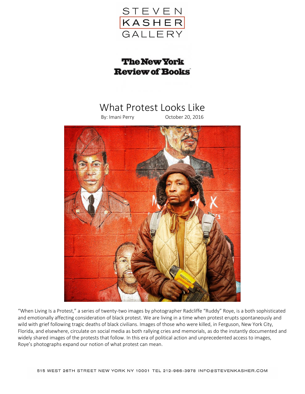

## **The New York Review of Books**

## What Protest Looks Like

## By: Imani Perry October 20, 2016



"When Living Is a Protest," a series of twenty-two images by photographer Radcliffe "Ruddy" Roye, is a both sophisticated and emotionally affecting consideration of black protest. We are living in a time when protest erupts spontaneously and wild with grief following tragic deaths of black civilians. Images of those who were killed, in Ferguson, New York City, Florida, and elsewhere, circulate on social media as both rallying cries and memorials, as do the instantly documented and widely shared images of the protests that follow. In this era of political action and unprecedented access to images, Roye's photographs expand our notion of what protest can mean.